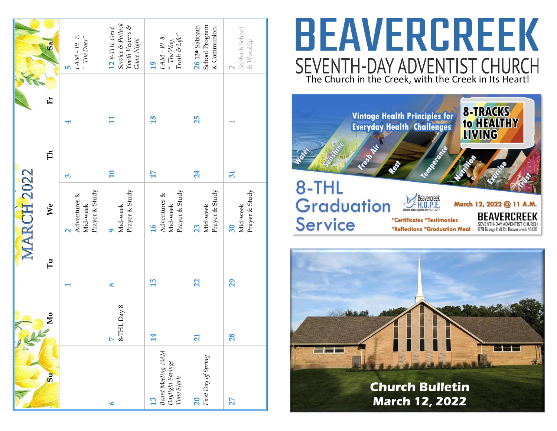|                                                             |                         |          | MARCH 2022                                                      |                          |                          |                                                                                                                                       |
|-------------------------------------------------------------|-------------------------|----------|-----------------------------------------------------------------|--------------------------|--------------------------|---------------------------------------------------------------------------------------------------------------------------------------|
| 5u                                                          | Mо                      | Fu       | We                                                              | $\mathbb H$              | 匠                        | Sa                                                                                                                                    |
|                                                             |                         | ī        | Prayer & Study<br>Adventures &<br>Mid-week<br>$\mathbf{\Omega}$ | $\omega$                 | 4                        | $I AM - Pt. 7,$ " The Door"<br><b>LO</b>                                                                                              |
| $\bullet$                                                   | HL Day 8<br>$1-8$<br>N  | $\infty$ | Prayer & Study<br>Mid-week<br>q                                 | $\overline{\mathbf{10}}$ | $\overline{\mathbf{H}}$  | Service & Potluck<br>Youth Vespers &<br>12 8-THL Grad.<br>Game Night                                                                  |
| Board Meeting 10AM<br>Daylight Savings<br>Time Starts<br>13 | 14                      | 15       | Prayer & Study<br>Adventures &<br>Mid-week<br>$\overline{16}$   | 17                       | $\overline{18}$          | $\begin{array}{l} I\,AM-{\rm Pt.}\;8,\\ \mbox{`` The Way,}\\ \mbox{Truth}\; \mathcal{S}\; {\rm Lip}^{\prime\prime} \end{array}$<br>19 |
| First Day of Spring<br>$\overline{20}$                      | $\overline{\mathbf{z}}$ | 22       | Prayer & Study<br>Mid-week<br>23                                | 24                       | 25                       | School Program<br>$26$ 13 <sup>th</sup> Sabbath<br>& Communion                                                                        |
| 27                                                          | 28                      | 29       | Prayer & Study<br>Mid-week<br>30                                | 51                       | $\overline{\phantom{0}}$ | Sabbath School<br>& Worship<br>$\sim$                                                                                                 |

# **BEAVERCREEK** SEVENTH-DAY ADVENTIST CHURCH<br>The Church in the Creek, with the Creek in Its Heart!